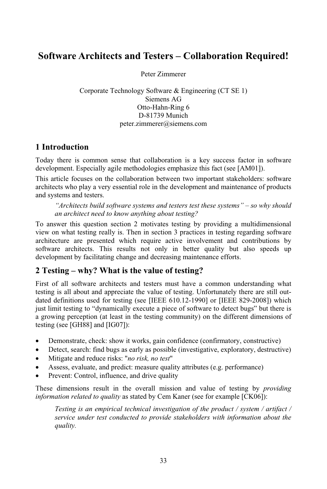# **Architects and Testers – Collaboration Required!** Peter Zimmerer

Peter Zimmerer

Peter Zimmerer<br>Technology Software & Engineering (CT SE 1) mero<br>e &<br>AG  $\frac{3}{6}$ 3y Softwa Otto-Hahn-Ring 6<br>D-81739 Munich Siemens AG peter.zimmerer@siemens.com

# deution<br>1 Introduction

**roduction**<br>there is common sense that collaboration is a key success factor in software alter that collaboration is a key success factor in agile methodologies emphasize this fact (see [AM01]). Today there is common sense that collaboration is a key success factor in software<br>development. Especially agile methodologies emphasize this fact (see [AM01]).<br>This article focuses on the collaboration between two importa  $\frac{10\mu}{1}$  $\mathbf{u}$ 

ent. Especially agile methodologies emphasize this fact (see [AM01]).<br>le focuses on the collaboration between two important stakeholders: software<br>who play a very essential role in the development and maintenance of produc s article focuses on<br>sitects who play a ve<br>systems and testers. This article focuses on the collaboration between two important stakeholders: software *build software systems and testers test these systems* <sup>*n*</sup> *- so why should software <i>systems and testers test these systems* <sup>*n*</sup> - *so why should an*

*architects build software systems and testers test these systems*  $" - so why should$ "Architects build software systems and testers test these systems" – so why should<br>an architect need to know anything about testing?<br>To answer this question section 2 motivates testing by providing a multidimensional an architect need to know anything about testing?

on an architect need to know anything about testing?<br>an architect need to know anything about testing?<br>nswer this question section 2 motivates testing by providing a multidimensional<br>on what testing really is. Then in sect this question section 2 motivates testing by providing a multidimensional<br>at testing really is. Then in section 3 practices in testing regarding software<br>are presented which require active involvement and contributions by For this question section 2 motivates testing by providing a multidimensional<br>what testing really is. Then in section 3 practices in testing regarding software<br>ure are presented which require active involvement and contrib view on wha It testing really is. Then in section 3 practices in testing reare presented which require active involvement and chitects. This results not only in better quality but by facilitating change and decreasing maintenance effo architecture are presented which require active involvement and contributions by Fermite turns are presented which require active involved<br>fiture architects. This results not only in better<br>evelopment by facilitating change and decreasing mainte:<br>**Testing – why? What is the value of testing?** development by facilitating change and decreasing maintenance efforts.

#### 2 Testing – why? What is the value of testing?

of all software architects and testers must have a common understanding what<br>of all software architects and testers must have a common understanding what  $\mu$  is all software architects and testers must have a common understanding what is all about and appreciate the value of testing. Unfortunately there are still outof all software architects and testers must have a common understanding what g is all about and appreciate the value of testing. Unfortunately there are still out-<br>definitions used for testing (see [IEEE 610.12-1990] or [I Firs It of all software architects and testers must have a common understanding what<br>ing is all about and appreciate the value of testing. Unfortunately there are still out-<br>ed definitions used for testing (see [IEEE 610.12-199 testing is all about and appreciate the value of testing. Unfortunately there are still outexting is all about and appreciate the value of testing. Unfortunately there are still out-<br>ated definitions used for testing (see [IEEE 610.12-1990] or [IEEE 829-2008]) which<br>ust limit testing to "dynamically execute a pi dated ( just limit testing to "dynamically execute a piece of software to detect bugs" but there is a growing perception (at least in the testing community) on the different dimensions of testing (see [GH88] and [IG07]):

- Demonstrate, check: show it works, gain confidence (confirmatory, constructive) • Demonstrate, check: show it works, gain constract Detect, search: find bugs as early as possible Mitigate and reduce risks: "*no risk, no test*"
- Demonstrate, check: show it works, gain confidence (confirmatory, constructive)<br>• Detect, search: find bugs as early as possible (investigative, exploratory, destructive) • Demonstrate, check: show it works, gain confidence (committatory, construenties)<br>• Detect, search: find bugs as early as possible (investigative, exploratory, de<br>• Mitigate and reduce risks: "*no risk, no test*"<br>• Assess
- 
- Detect, search: Ind bugs as early as possible<br>• Mitigate and reduce risks: "*no risk, no test*"<br>• Assess, evaluate, and predict: measure quality<br>• Prevent: Control, influence, and drive quality These dimensions result in the overall mission and value of testing by *providing*<br>These dimensions result in the overall mission and value of testing by *providing information*
- 

*related to and predict. incasure quality authoutes* (e.g. *performance)*<br>*related to <i>quality* as stated by Cem Kaner (see for example [CK06]): *Testing is in the overall mission and value of testing by <i>providing ation related to quality* as stated by Cem Kaner (see for example [CK06]):<br>*Testing is an empirical technical investigation of the product / syste* difficile<sup>r</sup> *information related to quality* as stated by Cem Kaner (see for example [CK06]):

*Testing is an empirical technical investigation of the product / system / artifact / service under test conducted to provide stakeholders with information about the* quality.